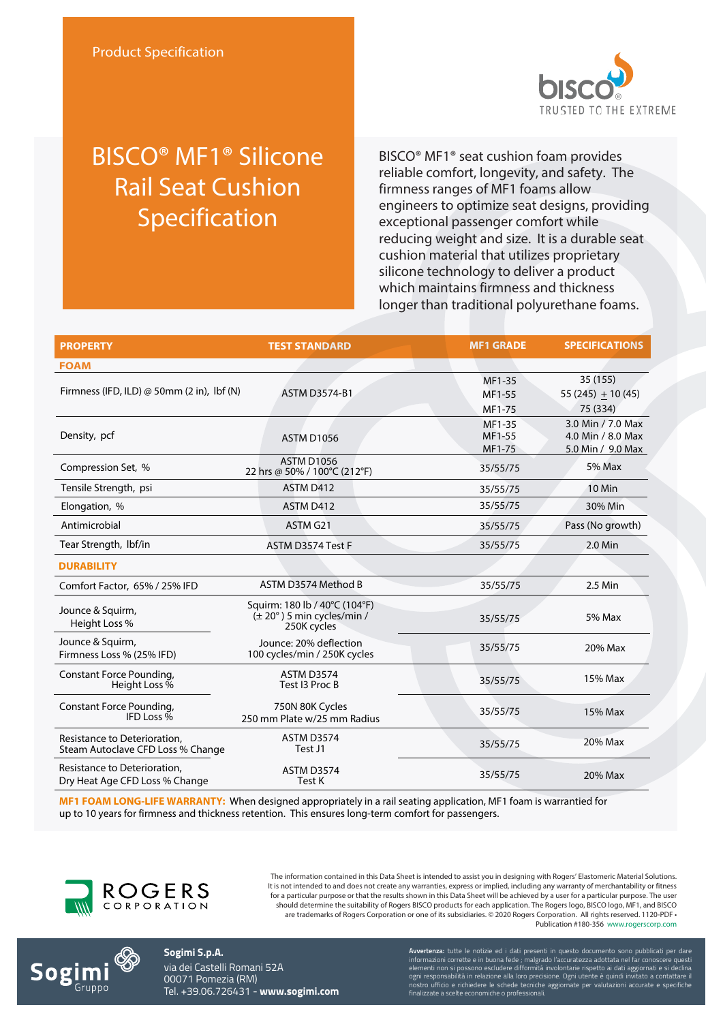

## BISCO® MF1® Silicone Rail Seat Cushion Specification

BISCO® MF1® seat cushion foam provides reliable comfort, longevity, and safety. The firmness ranges of MF1 foams allow engineers to optimize seat designs, providing exceptional passenger comfort while reducing weight and size. It is a durable seat cushion material that utilizes proprietary silicone technology to deliver a product which maintains firmness and thickness longer than traditional polyurethane foams.

| <b>PROPERTY</b>                                                   | <b>TEST STANDARD</b>                                                                | <b>MF1 GRADE</b>           | <b>SPECIFICATIONS</b>                                       |
|-------------------------------------------------------------------|-------------------------------------------------------------------------------------|----------------------------|-------------------------------------------------------------|
| <b>FOAM</b>                                                       |                                                                                     |                            |                                                             |
| Firmness (IFD, ILD) $\omega$ 50mm (2 in), lbf (N)                 | <b>ASTM D3574-B1</b>                                                                | MF1-35<br>MF1-55<br>MF1-75 | 35 (155)<br>$55(245) + 10(45)$<br>75 (334)                  |
| Density, pcf                                                      | <b>ASTM D1056</b>                                                                   | MF1-35<br>MF1-55<br>MF1-75 | 3.0 Min / 7.0 Max<br>4.0 Min / 8.0 Max<br>5.0 Min / 9.0 Max |
| Compression Set, %                                                | <b>ASTM D1056</b><br>22 hrs @ 50% / 100°C (212°F)                                   | 35/55/75                   | 5% Max                                                      |
| Tensile Strength, psi                                             | ASTM D412                                                                           | 35/55/75                   | 10 Min                                                      |
| Elongation, %                                                     | ASTM D412                                                                           | 35/55/75                   | 30% Min                                                     |
| Antimicrobial                                                     | ASTM G21                                                                            | 35/55/75                   | Pass (No growth)                                            |
| Tear Strength, Ibf/in                                             | ASTM D3574 Test F                                                                   | 35/55/75                   | 2.0 Min                                                     |
| <b>DURABILITY</b>                                                 |                                                                                     |                            |                                                             |
| Comfort Factor, 65% / 25% IFD                                     | ASTM D3574 Method B                                                                 | 35/55/75                   | 2.5 Min                                                     |
| Jounce & Squirm,<br>Height Loss %                                 | Squirm: 180 lb / 40°C (104°F)<br>$(\pm 20^\circ)$ 5 min cycles/min /<br>250K cycles | 35/55/75                   | 5% Max                                                      |
| Jounce & Squirm,<br>Firmness Loss % (25% IFD)                     | Jounce: 20% deflection<br>100 cycles/min / 250K cycles                              | 35/55/75                   | 20% Max                                                     |
| Constant Force Pounding,<br>Height Loss %                         | <b>ASTM D3574</b><br>Test 13 Proc B                                                 | 35/55/75                   | 15% Max                                                     |
| Constant Force Pounding,<br>IFD Loss %                            | 750N 80K Cycles<br>250 mm Plate w/25 mm Radius                                      | 35/55/75                   | 15% Max                                                     |
| Resistance to Deterioration,<br>Steam Autoclave CFD Loss % Change | <b>ASTM D3574</b><br>Test J1                                                        | 35/55/75                   | 20% Max                                                     |
| Resistance to Deterioration,<br>Dry Heat Age CFD Loss % Change    | <b>ASTM D3574</b><br>Test K                                                         | 35/55/75                   | 20% Max                                                     |

**MF1 FOAM LONG-LIFE WARRANTY:** When designed appropriately in a rail seating application, MF1 foam is warrantied for up to 10 years for firmness and thickness retention. This ensures long-term comfort for passengers.



The information contained in this Data Sheet is intended to assist you in designing with Rogers' Elastomeric Material Solutions. It is not intended to and does not create any warranties, express or implied, including any warranty of merchantability or fitness for a particular purpose or that the results shown in this Data Sheet will be achieved by a user for a particular purpose. The user should determine the suitability of Rogers BISCO products for each application. The Rogers logo, BISCO logo, MF1, and BISCO are trademarks of Rogers Corporation or one of its subsidiaries. © 2020 Rogers Corporation. All rights reserved. 1120-PDF • Publication #180-356 www.rogerscorp.com



**Sogimi S.p.A.** via dei Castelli Romani 52A 00071 Pomezia (RM) Tel. +39.06.726431 - **www.sogimi.com** **Avvertenza:** tutte le notizie ed i dati presenti in questo documento sono pubblicati per dare informazioni corrette e in buona fede ; malgrado l'accuratezza adottata nel far conoscere questi elementi non si possono escludere difformità involontarie rispetto ai dati aggiornati e si declina ogni responsabilità in relazione alla loro precisione. Ogni utente è quindi invitato a contattare il nostro ufficio e richiedere le schede tecniche aggiornate per valutazioni accurate e specifiche finalizzate a scelte economiche o professionali.